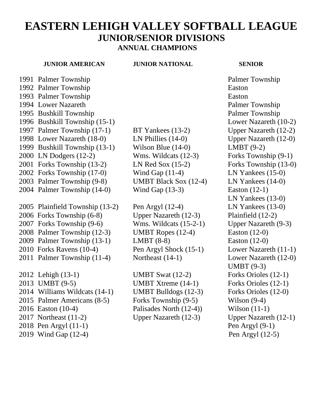# **EASTERN LEHIGH VALLEY SOFTBALL LEAGUE JUNIOR/SENIOR DIVISIONS ANNUAL CHAMPIONS**

### **JUNIOR AMERICAN JUNIOR NATIONAL SENIOR**

1992 Palmer Township Easton Palmer Township Easton 1994 Lower Nazareth **Palmer Township**  Bushkill Township Palmer Township Bushkill Township (15-1) Lower Nazareth (10-2) Palmer Township (17-1) BT Yankees (13-2) Upper Nazareth (12-2) Lower Nazareth (18-0) LN Phillies (14-0) Upper Nazareth (12-0) Bushkill Township (13-1) Wilson Blue (14-0) LMBT (9-2) LN Dodgers (12-2) Wms. Wildcats (12-3) Forks Township (9-1) Forks Township (13-2) LN Red Sox (15-2) Forks Township (13-0) Forks Township (17-0) Wind Gap (11-4) LN Yankees (15-0) Palmer Township (9-8) UMBT Black Sox (12-4) LN Yankees (14-0) Palmer Township (14-0) Wind Gap (13-3) Easton (12-1) Plainfield Township (13-2) Pen Argyl (12-4) LN Yankees (13-0) 2006 Forks Township (6-8) Upper Nazareth (12-3) Plainfield (12-2) Forks Township (9-6) Wms. Wildcats (15-2-1) Upper Nazareth (9-3) Palmer Township (12-3) UMBT Ropes (12-4) Easton (12-0) Palmer Township (13-1) LMBT (8-8) Easton (12-0) 2010 Forks Ravens (10-4) Pen Argyl Shock (15-1) Lower Nazareth (11-1) 2011 Palmer Township (11-4) Northeast (14-1) Lower Nazareth (12-0) Lehigh (13-1) UMBT Swat (12-2) Forks Orioles (12-1) UMBT (9-5) UMBT Xtreme (14-1) Forks Orioles (12-1) 2014 Williams Wildcats (14-1) UMBT Bulldogs (12-3) Forks Orioles (12-0) Palmer Americans (8-5) Forks Township (9-5) Wilson (9-4) 2016 Easton (10-4) Palisades North (12-4)) Wilson (11-1) 2017 Northeast (11-2) Upper Nazareth (12-3) Upper Nazareth (12-1) 2018 Pen Argyl (11-1) Pen Argyl (9-1)

1991 Palmer Township Palmer Township LN Yankees (13-0) UMBT (9-3) 2019 Wind Gap (12-4) Pen Argyl (12-5)